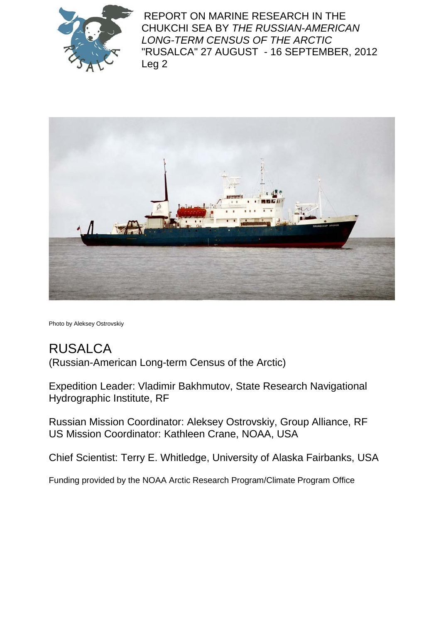

REPORT ON MARINE RESEARCH IN THE CHUKCHI SEA BY *THE RUSSIAN-AMERICAN LONG-TERM CENSUS OF THE ARCTIC* "RUSALCA" 27 AUGUST - 16 SEPTEMBER, 2012 Leg 2



Photo by Aleksey Ostrovskiy

# RUSALCA

(Russian-American Long-term Census of the Arctic)

Expedition Leader: Vladimir Bakhmutov, State Research Navigational Hydrographic Institute, RF

Russian Mission Coordinator: Aleksey Ostrovskiy, Group Alliance, RF US Mission Coordinator: Kathleen Crane, NOAA, USA

Chief Scientist: Terry E. Whitledge, University of Alaska Fairbanks, USA

Funding provided by the NOAA Arctic Research Program/Climate Program Office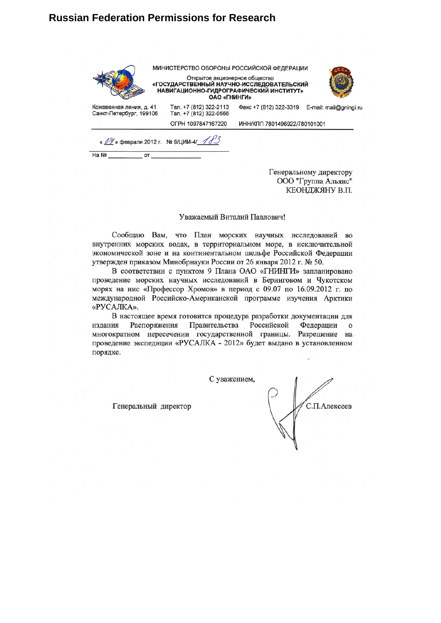#### **Russian Federation Permissions for Research**

|                                                       | ОАО «ГНИНГИ»                                     | МИНИСТЕРСТВО ОБОРОНЫ РОССИЙСКОЙ ФЕДЕРАЦИИ<br>Открытое акционерное общество<br>Сударственный научно-исследовательский»<br>НАВИГАЦИОННО-ГИДРОГРАФИЧЕСКИЙ ИНСТИТУТ» |
|-------------------------------------------------------|--------------------------------------------------|------------------------------------------------------------------------------------------------------------------------------------------------------------------|
| Кожевенная линия, д. 41<br>Санкт-Петербург, 199106    | Тел. +7 (812) 322-2113<br>Тел. +7 (812) 322-0566 | Факс +7 (812) 322-3319<br>E-mail: mail@gningi.ru                                                                                                                 |
|                                                       | OFPH 1097847167220                               | ИНН/КПП 7801496922/780101001                                                                                                                                     |
| « 199 » февраля 2012 г. № 9/ЦИИ-4/ 183<br>Ha Nº<br>OT |                                                  |                                                                                                                                                                  |

Генеральному директору ООО "Группа Альянс" КЕОНДЖЯНУ В.П.

#### Уважаемый Виталий Павлович!

Сообщаю Вам, что План морских научных исследований во внутренних морских водах, в территориальном море, в исключительной экономической зоне и на континентальном шельфе Российской Федерации утвержден приказом Минобрнауки России от 26 января 2012 г. № 50.

В соответствии с пунктом 9 Плана ОАО «ГНИНГИ» запланировано проведение морских научных исследований в Беринговом и Чукотском морях на нис «Профессор Хромов» в период с 09.07 по 16.09.2012 г. по международной Российско-Американской программе изучения Арктики «РУСАЛКА».

В настоящее время готовится процедура разработки документации для издания Распоряжения Правительства Российской Федерации  $\circ$ многократном пересечении государственной границы. Разрешение на проведение экспедиции «РУСАЛКА - 2012» будет выдано в установленном порядке.

С уважением,

Генеральный директор

С.П.Алексеев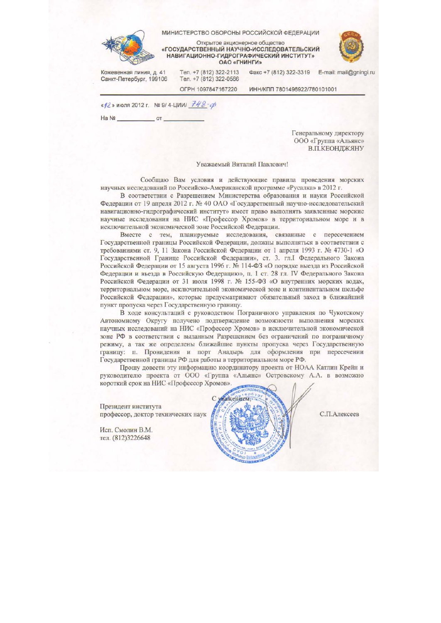|                                                    | Открытое акционерное общество<br>«ГОСУДАРСТВЕННЫЙ НАУЧНО-ИССЛЕДОВАТЕЛЬСКИЙ<br>НАВИГАЦИОННО-ГИДРОГРАФИЧЕСКИЙ ИНСТИТУТ»<br>ОАО «ГНИНГИ» |                              |                        |
|----------------------------------------------------|---------------------------------------------------------------------------------------------------------------------------------------|------------------------------|------------------------|
| Кожевенная линия, д. 41<br>Санкт-Петербург, 199106 | Тел. +7 (812) 322-2113<br>Тел. +7 (812) 322-0566                                                                                      | Факс +7 (812) 322-3319       | E-mail: mail@gningi.ru |
|                                                    | OFPH 1097847167220                                                                                                                    | ИНН/КПП 7801496922/780101001 |                        |

Генеральному директору ООО «Группа «Альянс» В.П.КЕОНДЖЯНУ

#### Уважаемый Виталий Павлович!

Сообщаю Вам условия и действующие правила проведения морских научных исследований по Российско-Американской программе «Русалка» в 2012 г.

В соответствии с Разрешением Министерства образования и науки Российской Федерации от 19 апреля 2012 г. № 40 ОАО «Государственный научно-исследовательский навигационно-гидрографический институт» имеет право выполнять заявленные морские научные исследования на НИС «Профессор Хромов» в территориальном море и в исключительной экономической зоне Российской Федерации.

Вместе с тем, планируемые исследования, связанные с пересечением Государственной границы Российской Федерации, должны выполняться в соответствии с требованиями ст. 9, 11 Закона Российской Федерации от 1 апреля 1993 г. № 4730-1 «О Государственной Границе Российской Федерации», ст. 3. гл.I Федерального Закона Российской Федерации от 15 августа 1996 г. № 114-ФЗ «О порядке выезда из Российской Федерации и въезда в Российскую Федерацию», п. 1 ст. 28 гл. IV Федерального Закона Российской Федерации от 31 июля 1998 г. № 155-ФЗ «О внутренних морских водах, территориальном море, исключительной экономической зоне и континентальном шельфе Российской Федерации», которые предусматривают обязательный заход в ближайший пункт пропуска через Государственную границу.

В ходе консультаций с руководством Пограничного управления по Чукотскому Автономному Округу получено подтверждение возможности выполнения морских научных исследований на НИС «Профессор Хромов» в исключительной экономической зоне РФ в соответствии с выданным Разрешением без ограничений по пограничному режиму, а так же определены ближайшие пункты пропуска через Государственную границу: п. Провидения и порт Анадырь для оформления при пересечении Государственной границы РФ для работы в территориальном море РФ.

Прошу довести эту информацию координатору проекта от НОАА Катлин Крейн и руководителю проекта от ООО «Группа «Альянс» Островскому А.А. в возможно короткий срок на НИС «Профессор Хромов».

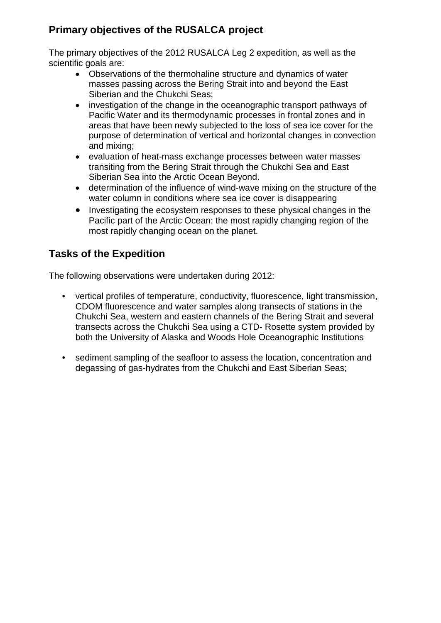### **Primary objectives of the RUSALCA project**

The primary objectives of the 2012 RUSALCA Leg 2 expedition, as well as the scientific goals are:

- Observations of the thermohaline structure and dynamics of water masses passing across the Bering Strait into and beyond the East Siberian and the Chukchi Seas;
- investigation of the change in the oceanographic transport pathways of Pacific Water and its thermodynamic processes in frontal zones and in areas that have been newly subjected to the loss of sea ice cover for the purpose of determination of vertical and horizontal changes in convection and mixing;
- evaluation of heat-mass exchange processes between water masses transiting from the Bering Strait through the Chukchi Sea and East Siberian Sea into the Arctic Ocean Beyond.
- determination of the influence of wind-wave mixing on the structure of the water column in conditions where sea ice cover is disappearing
- Investigating the ecosystem responses to these physical changes in the Pacific part of the Arctic Ocean: the most rapidly changing region of the most rapidly changing ocean on the planet.

### **Tasks of the Expedition**

The following observations were undertaken during 2012:

- vertical profiles of temperature, conductivity, fluorescence, light transmission, CDOM fluorescence and water samples along transects of stations in the Chukchi Sea, western and eastern channels of the Bering Strait and several transects across the Chukchi Sea using a CTD- Rosette system provided by both the University of Alaska and Woods Hole Oceanographic Institutions
- sediment sampling of the seafloor to assess the location, concentration and degassing of gas-hydrates from the Chukchi and East Siberian Seas;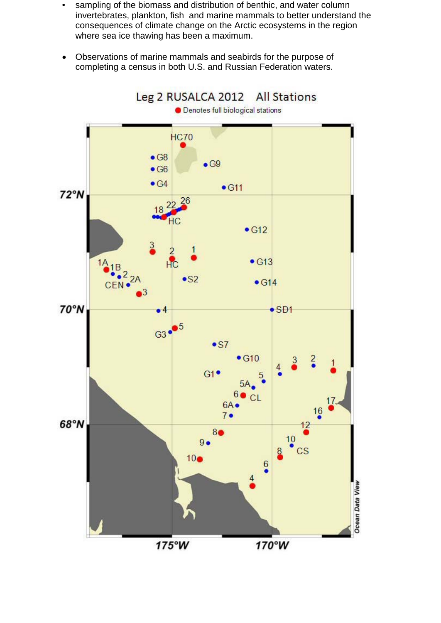- sampling of the biomass and distribution of benthic, and water column invertebrates, plankton, fish and marine mammals to better understand the consequences of climate change on the Arctic ecosystems in the region where sea ice thawing has been a maximum.
- Observations of marine mammals and seabirds for the purpose of completing a census in both U.S. and Russian Federation waters.

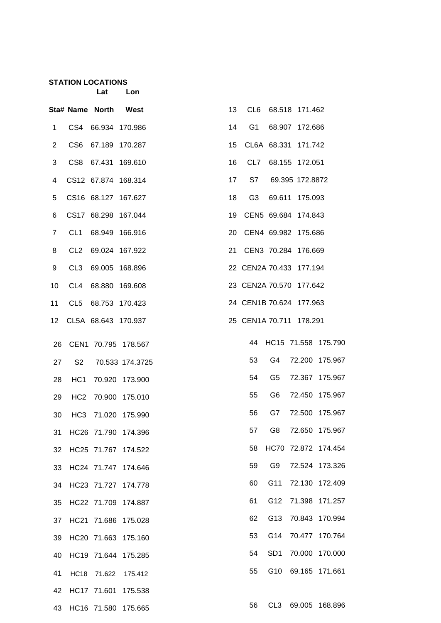## **STATION LOCATIONS**

| OCATIONS |     |
|----------|-----|
| Lat      | Lon |

|                |                 | Sta# Name North     | West                   | 13 |                |                 | CL6 68.518 171.462      |                        |
|----------------|-----------------|---------------------|------------------------|----|----------------|-----------------|-------------------------|------------------------|
| 1              |                 | CS4 66.934 170.986  |                        | 14 | G1             |                 | 68.907 172.686          |                        |
| $\overline{2}$ | CS <sub>6</sub> | 67.189 170.287      |                        | 15 |                |                 | CL6A 68.331 171.742     |                        |
| 3              | CS <sub>8</sub> | 67.431 169.610      |                        | 16 |                |                 | CL7 68.155 172.051      |                        |
| 4              |                 | CS12 67.874 168.314 |                        | 17 | S7             |                 | 69.395 172.8872         |                        |
| 5              |                 | CS16 68.127 167.627 |                        | 18 | G <sub>3</sub> |                 | 69.611 175.093          |                        |
| 6              |                 | CS17 68.298 167.044 |                        | 19 |                |                 | CEN5 69.684 174.843     |                        |
| 7              | CL <sub>1</sub> | 68.949 166.916      |                        | 20 |                |                 | CEN4 69.982 175.686     |                        |
| 8              | CL <sub>2</sub> | 69.024 167.922      |                        | 21 |                |                 | CEN3 70.284 176.669     |                        |
| 9              | CL <sub>3</sub> |                     | 69.005 168.896         |    |                |                 | 22 CEN2A 70.433 177.194 |                        |
| 10             | CL <sub>4</sub> | 68.880 169.608      |                        |    |                |                 | 23 CEN2A 70.570 177.642 |                        |
| 11             | CL <sub>5</sub> | 68.753 170.423      |                        |    |                |                 | 24 CEN1B 70.624 177.963 |                        |
| 12             |                 |                     | CL5A 68.643 170.937    |    |                |                 | 25 CEN1A 70.711 178.291 |                        |
| 26             |                 |                     | CEN1 70.795 178.567    |    |                |                 |                         | 44 HC15 71.558 175.790 |
| 27             | S <sub>2</sub>  |                     | 70.533 174.3725        |    | 53             | G4              |                         | 72.200 175.967         |
| 28             | HC <sub>1</sub> |                     | 70.920 173.900         |    | 54             | G5              |                         | 72.367 175.967         |
| 29             |                 |                     | HC2 70.900 175.010     |    | 55             | G6              |                         | 72.450 175.967         |
| 30             |                 |                     | HC3 71.020 175.990     |    | 56             | G7              |                         | 72.500 175.967         |
|                |                 |                     | 31 HC26 71.790 174.396 |    | 57             | G8              |                         | 72.650 175.967         |
| 32             |                 |                     | HC25 71.767 174.522    |    | 58             |                 |                         | HC70 72.872 174.454    |
| 33             |                 |                     | HC24 71.747 174.646    |    | 59             | G9              |                         | 72.524 173.326         |
| 34             |                 |                     | HC23 71.727 174.778    |    | 60             | G11             |                         | 72.130 172.409         |
| 35             |                 |                     | HC22 71.709 174.887    |    | 61             | G12             |                         | 71.398 171.257         |
| 37             |                 |                     | HC21 71.686 175.028    |    | 62             | G13             |                         | 70.843 170.994         |
| 39             |                 |                     | HC20 71.663 175.160    |    | 53             | G14             |                         | 70.477 170.764         |
| 40             |                 |                     | HC19 71.644 175.285    |    | 54             | SD <sub>1</sub> |                         | 70.000 170.000         |
| 41             | <b>HC18</b>     | 71.622              | 175.412                |    | 55             | G10             |                         | 69.165 171.661         |
| 42             |                 |                     | HC17 71.601 175.538    |    |                |                 |                         |                        |
| 43             |                 |                     | HC16 71.580 175.665    |    | 56             | CL3             |                         | 69.005 168.896         |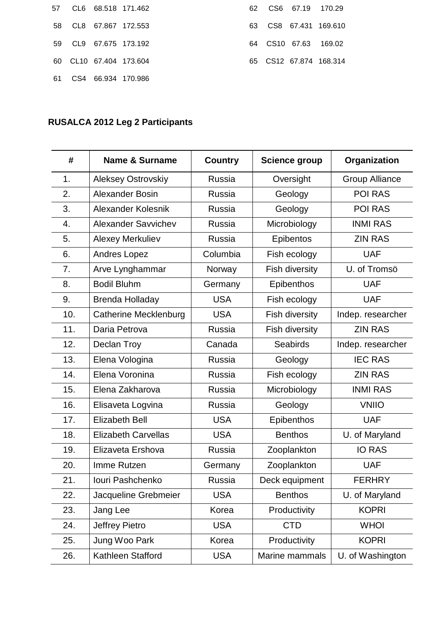|  | 57 CL6 68.518 171.462  |
|--|------------------------|
|  | 58 CL8 67.867 172.553  |
|  | 59 CL9 67.675 173.192  |
|  | 60 CL10 67.404 173.604 |
|  | 61 CS4 66.934 170.986  |

|  | 62  CS6  67.19  170.29 |                        |
|--|------------------------|------------------------|
|  |                        | 63 CS8 67.431 169.610  |
|  | 64 CS10 67.63 169.02   |                        |
|  |                        | 65 CS12 67.874 168.314 |

## **RUSALCA 2012 Leg 2 Participants**

| #   | <b>Name &amp; Surname</b>    | <b>Country</b> | <b>Science group</b>  | Organization          |
|-----|------------------------------|----------------|-----------------------|-----------------------|
| 1.  | Aleksey Ostrovskiy           | Russia         | Oversight             | <b>Group Alliance</b> |
| 2.  | <b>Alexander Bosin</b>       | <b>Russia</b>  | Geology               | POI RAS               |
| 3.  | Alexander Kolesnik           | Russia         | Geology               | <b>POI RAS</b>        |
| 4.  | Alexander Savvichev          | Russia         | Microbiology          | <b>INMI RAS</b>       |
| 5.  | Alexey Merkuliev             | Russia         | <b>Epibentos</b>      | <b>ZIN RAS</b>        |
| 6.  | Andres Lopez                 | Columbia       | Fish ecology          | <b>UAF</b>            |
| 7.  | Arve Lynghammar              | Norway         | Fish diversity        | U. of Tromsö          |
| 8.  | <b>Bodil Bluhm</b>           | Germany        | <b>Epibenthos</b>     | <b>UAF</b>            |
| 9.  | <b>Brenda Holladay</b>       | <b>USA</b>     | Fish ecology          | <b>UAF</b>            |
| 10. | <b>Catherine Mecklenburg</b> | <b>USA</b>     | <b>Fish diversity</b> | Indep. researcher     |
| 11. | Daria Petrova                | Russia         | <b>Fish diversity</b> | <b>ZIN RAS</b>        |
| 12. | Declan Troy                  | Canada         | <b>Seabirds</b>       | Indep. researcher     |
| 13. | Elena Vologina               | Russia         | Geology               | <b>IEC RAS</b>        |
| 14. | Elena Voronina               | Russia         | Fish ecology          | <b>ZIN RAS</b>        |
| 15. | Elena Zakharova              | Russia         | Microbiology          | <b>INMI RAS</b>       |
| 16. | Elisaveta Logvina            | Russia         | Geology               | <b>VNIIO</b>          |
| 17. | <b>Elizabeth Bell</b>        | <b>USA</b>     | <b>Epibenthos</b>     | <b>UAF</b>            |
| 18. | <b>Elizabeth Carvellas</b>   | <b>USA</b>     | <b>Benthos</b>        | U. of Maryland        |
| 19. | Elizaveta Ershova            | Russia         | Zooplankton           | <b>IO RAS</b>         |
| 20. | Imme Rutzen                  | Germany        | Zooplankton           | <b>UAF</b>            |
| 21  | Jouri Pashchenko             | Russia         | Deck equipment        | <b>FERHRY</b>         |
| 22. | Jacqueline Grebmeier         | <b>USA</b>     | <b>Benthos</b>        | U. of Maryland        |
| 23. | Jang Lee                     | Korea          | Productivity          | <b>KOPRI</b>          |
| 24. | Jeffrey Pietro               | <b>USA</b>     | <b>CTD</b>            | <b>WHOI</b>           |
| 25. | Jung Woo Park                | Korea          | Productivity          | <b>KOPRI</b>          |
| 26. | Kathleen Stafford            | <b>USA</b>     | Marine mammals        | U. of Washington      |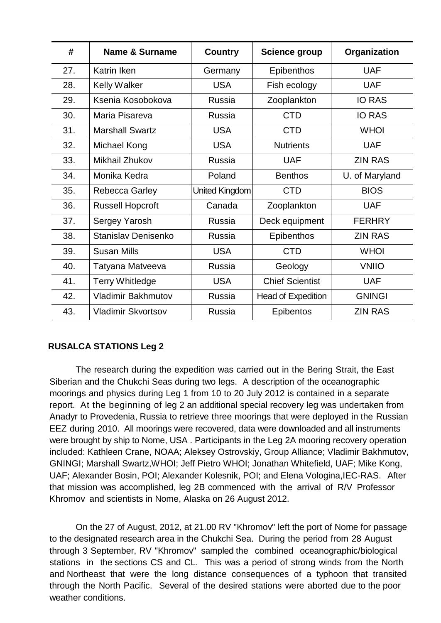| #   | <b>Name &amp; Surname</b> | <b>Country</b> | <b>Science group</b>   | Organization   |
|-----|---------------------------|----------------|------------------------|----------------|
| 27. | <b>Katrin Iken</b>        | Germany        | <b>Epibenthos</b>      | <b>UAF</b>     |
| 28. | <b>Kelly Walker</b>       | <b>USA</b>     | Fish ecology           | <b>UAF</b>     |
| 29. | Ksenia Kosobokova         | Russia         | Zooplankton            | <b>IO RAS</b>  |
| 30. | Maria Pisareva            | Russia         | <b>CTD</b>             | <b>IO RAS</b>  |
| 31. | <b>Marshall Swartz</b>    | <b>USA</b>     | <b>CTD</b>             | <b>WHOI</b>    |
| 32. | Michael Kong              | <b>USA</b>     | <b>Nutrients</b>       | <b>UAF</b>     |
| 33. | Mikhail Zhukov            | Russia         | <b>UAF</b>             | <b>ZIN RAS</b> |
| 34. | Monika Kedra              | Poland         | <b>Benthos</b>         | U. of Maryland |
| 35. | Rebecca Garley            | United Kingdom | <b>CTD</b>             | <b>BIOS</b>    |
| 36. | <b>Russell Hopcroft</b>   | Canada         | Zooplankton            | <b>UAF</b>     |
| 37. | Sergey Yarosh             | <b>Russia</b>  | Deck equipment         | <b>FERHRY</b>  |
| 38. | Stanislav Denisenko       | <b>Russia</b>  | <b>Epibenthos</b>      | <b>ZIN RAS</b> |
| 39. | <b>Susan Mills</b>        | <b>USA</b>     | <b>CTD</b>             | <b>WHOI</b>    |
| 40. | Tatyana Matveeva          | Russia         | Geology                | <b>VNIIO</b>   |
| 41. | <b>Terry Whitledge</b>    | <b>USA</b>     | <b>Chief Scientist</b> | <b>UAF</b>     |
| 42. | <b>Vladimir Bakhmutov</b> | Russia         | Head of Expedition     | <b>GNINGI</b>  |
| 43. | Vladimir Skvortsov        | Russia         | <b>Epibentos</b>       | <b>ZIN RAS</b> |

#### **RUSALCA STATIONS Leg 2**

The research during the expedition was carried out in the Bering Strait, the East Siberian and the Chukchi Seas during two legs. A description of the oceanographic moorings and physics during Leg 1 from 10 to 20 July 2012 is contained in a separate report. At the beginning of leg 2 an additional special recovery leg was undertaken from Anadyr to Provedenia, Russia to retrieve three moorings that were deployed in the Russian EEZ during 2010. All moorings were recovered, data were downloaded and all instruments were brought by ship to Nome, USA . Participants in the Leg 2A mooring recovery operation included: Kathleen Crane, NOAA; Aleksey Ostrovskiy, Group Alliance; Vladimir Bakhmutov, GNINGI; Marshall Swartz,WHOI; Jeff Pietro WHOI; Jonathan Whitefield, UAF; Mike Kong, UAF; Alexander Bosin, POI; Alexander Kolesnik, POI; and Elena Vologina,IEC-RAS. After that mission was accomplished, leg 2B commenced with the arrival of R/V Professor Khromov and scientists in Nome, Alaska on 26 August 2012.

On the 27 of August, 2012, at 21.00 RV "Khromov" left the port of Nome for passage to the designated research area in the Chukchi Sea. During the period from 28 August through 3 September, RV "Khromov" sampled the combined oceanographic/biological stations in the sections CS and CL. This was a period of strong winds from the North and Northeast that were the long distance consequences of a typhoon that transited through the North Pacific. Several of the desired stations were aborted due to the poor weather conditions.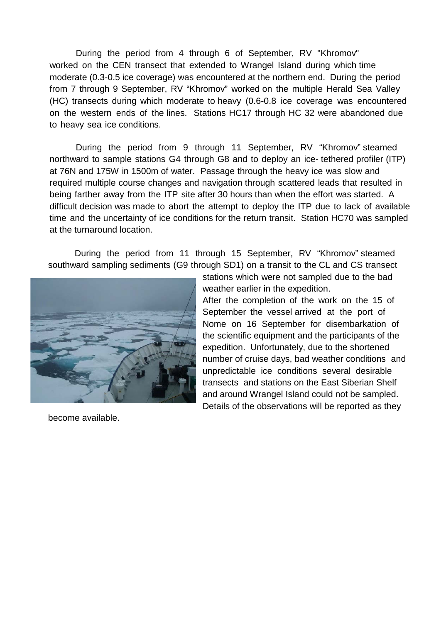During the period from 4 through 6 of September, RV "Khromov" worked on the CEN transect that extended to Wrangel Island during which time moderate (0.3-0.5 ice coverage) was encountered at the northern end. During the period from 7 through 9 September, RV "Khromov" worked on the multiple Herald Sea Valley (HC) transects during which moderate to heavy (0.6-0.8 ice coverage was encountered on the western ends of the lines. Stations HC17 through HC 32 were abandoned due to heavy sea ice conditions.

During the period from 9 through 11 September, RV "Khromov" steamed northward to sample stations G4 through G8 and to deploy an ice- tethered profiler (ITP) at 76N and 175W in 1500m of water. Passage through the heavy ice was slow and required multiple course changes and navigation through scattered leads that resulted in being farther away from the ITP site after 30 hours than when the effort was started. A difficult decision was made to abort the attempt to deploy the ITP due to lack of available time and the uncertainty of ice conditions for the return transit. Station HC70 was sampled at the turnaround location.

During the period from 11 through 15 September, RV "Khromov" steamed southward sampling sediments (G9 through SD1) on a transit to the CL and CS transect



stations which were not sampled due to the bad weather earlier in the expedition.

After the completion of the work on the 15 of September the vessel arrived at the port of Nome on 16 September for disembarkation of the scientific equipment and the participants of the expedition. Unfortunately, due to the shortened number of cruise days, bad weather conditions and unpredictable ice conditions several desirable transects and stations on the East Siberian Shelf and around Wrangel Island could not be sampled. Details of the observations will be reported as they

become available.